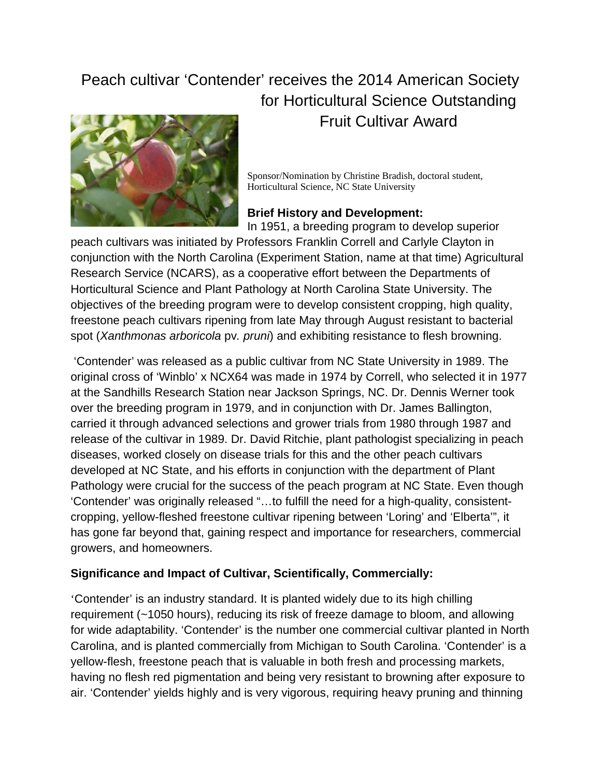## Peach cultivar 'Contender' receives the 2014 American Society for Horticultural Science Outstanding Fruit Cultivar Award



Sponsor/Nomination by Christine Bradish, doctoral student, Horticultural Science, NC State University

## **Brief History and Development:**  In 1951, a breeding program to develop superior

peach cultivars was initiated by Professors Franklin Correll and Carlyle Clayton in conjunction with the North Carolina (Experiment Station, name at that time) Agricultural Research Service (NCARS), as a cooperative effort between the Departments of Horticultural Science and Plant Pathology at North Carolina State University. The objectives of the breeding program were to develop consistent cropping, high quality, freestone peach cultivars ripening from late May through August resistant to bacterial spot (*Xanthmonas arboricola* pv*. pruni*) and exhibiting resistance to flesh browning.

 'Contender' was released as a public cultivar from NC State University in 1989. The original cross of 'Winblo' x NCX64 was made in 1974 by Correll, who selected it in 1977 at the Sandhills Research Station near Jackson Springs, NC. Dr. Dennis Werner took over the breeding program in 1979, and in conjunction with Dr. James Ballington, carried it through advanced selections and grower trials from 1980 through 1987 and release of the cultivar in 1989. Dr. David Ritchie, plant pathologist specializing in peach diseases, worked closely on disease trials for this and the other peach cultivars developed at NC State, and his efforts in conjunction with the department of Plant Pathology were crucial for the success of the peach program at NC State. Even though 'Contender' was originally released "…to fulfill the need for a high-quality, consistentcropping, yellow-fleshed freestone cultivar ripening between 'Loring' and 'Elberta'", it has gone far beyond that, gaining respect and importance for researchers, commercial growers, and homeowners.

## **Significance and Impact of Cultivar, Scientifically, Commercially:**

'Contender' is an industry standard. It is planted widely due to its high chilling requirement (~1050 hours), reducing its risk of freeze damage to bloom, and allowing for wide adaptability. 'Contender' is the number one commercial cultivar planted in North Carolina, and is planted commercially from Michigan to South Carolina. 'Contender' is a yellow-flesh, freestone peach that is valuable in both fresh and processing markets, having no flesh red pigmentation and being very resistant to browning after exposure to air. 'Contender' yields highly and is very vigorous, requiring heavy pruning and thinning